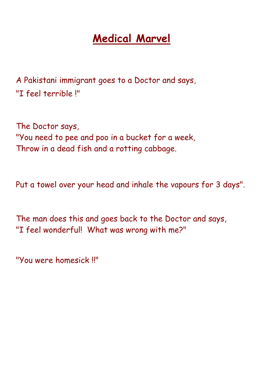### **Medical Marvel**

A Pakistani immigrant goes to a Doctor and says, "I feel terrible !"

The Doctor says, "You need to pee and poo in a bucket for a week, Throw in a dead fish and a rotting cabbage.

Put a towel over your head and inhale the vapours for 3 days".

The man does this and goes back to the Doctor and says, "I feel wonderful! What was wrong with me?"

"You were homesick !!"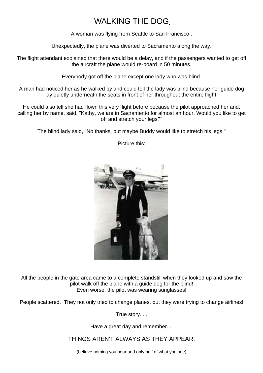#### WALKING THE DOG

A woman was flying from Seattle to San Francisco .

Unexpectedly, the plane was diverted to Sacramento along the way.

The flight attendant explained that there would be a delay, and if the passengers wanted to get off the aircraft the plane would re-board in 50 minutes.

Everybody got off the plane except one lady who was blind.

A man had noticed her as he walked by and could tell the lady was blind because her guide dog lay quietly underneath the seats in front of her throughout the entire flight.

He could also tell she had flown this very flight before because the pilot approached her and, calling her by name, said, "Kathy, we are in Sacramento for almost an hour. Would you like to get off and stretch your legs?"

The blind lady said, "No thanks, but maybe Buddy would like to stretch his legs."



Picture this:

All the people in the gate area came to a complete standstill when they looked up and saw the pilot walk off the plane with a guide dog for the blind! Even worse, the pilot was wearing sunglasses!

People scattered. They not only tried to change planes, but they were trying to change airlines!

True story.....

Have a great day and remember....

THINGS AREN'T ALWAYS AS THEY APPEAR.

(believe nothing you hear and only half of what you see)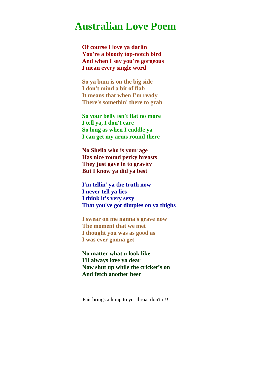### **Australian Love Poem**

**Of course I love ya darlin You're a bloody top-notch bird And when I say you're gorgeous I mean every single word** 

**So ya bum is on the big side I don't mind a bit of flab It means that when I'm ready There's somethin' there to grab** 

**So your belly isn't flat no more I tell ya, I don't care So long as when I cuddle ya I can get my arms round there** 

**No Sheila who is your age Has nice round perky breasts They just gave in to gravity But I know ya did ya best** 

**I'm tellin' ya the truth now I never tell ya lies I think it's very sexy That you've got dimples on ya thighs** 

**I swear on me nanna's grave now The moment that we met I thought you was as good as I was ever gonna get** 

**No matter what u look like I'll always love ya dear Now shut up while the cricket's on And fetch another beer**

Fair brings a lump to yer throat don't it!!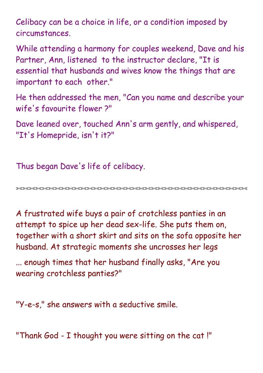Celibacy can be a choice in life, or a condition imposed by circumstances.

While attending a harmony for couples weekend, Dave and his Partner, Ann, listened to the instructor declare, "It is essential that husbands and wives know the things that are important to each other."

He then addressed the men, "Can you name and describe your wife's favourite flower ?"

Dave leaned over, touched Ann's arm gently, and whispered, "It's Homepride, isn't it?"

Thus began Dave's life of celibacy.

A frustrated wife buys a pair of crotchless panties in an attempt to spice up her dead sex-life. She puts them on, together with a short skirt and sits on the sofa opposite her husband. At strategic moments she uncrosses her legs

... enough times that her husband finally asks, "Are you wearing crotchless panties?"

"Y-e-s," she answers with a seductive smile.

"Thank God - I thought you were sitting on the cat !"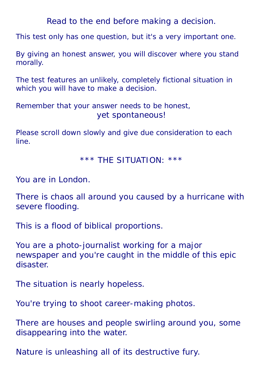Read to the end before making a decision.

This test only has one question, but it's a very important one.

By giving an honest answer, you will discover where you stand morally.

The test features an unlikely, completely fictional situation in which you will have to make a decision.

Remember that your answer needs to be honest, yet spontaneous!

Please scroll down slowly and give due consideration to each line.

\*\*\* THE SITUATION: \*\*\*

You are in London.

There is chaos all around you caused by a hurricane with severe flooding.

This is a flood of biblical proportions.

You are a photo-journalist working for a major newspaper and you're caught in the middle of this epic disaster.

The situation is nearly hopeless.

You're trying to shoot career-making photos.

There are houses and people swirling around you, some disappearing into the water.

Nature is unleashing all of its destructive fury.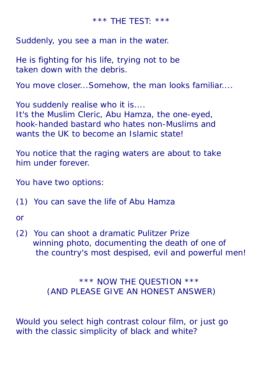#### \*\*\* THE TEST: \*\*\*

Suddenly, you see a man in the water.

He is fighting for his life, trying not to be taken down with the debris.

You move closer...Somehow, the man looks familiar....

You suddenly realise who it is.... It's the Muslim Cleric, Abu Hamza, the one-eyed, hook-handed bastard who hates non-Muslims and wants the UK to become an Islamic state!

You notice that the raging waters are about to take him under forever.

You have two options:

(1) You can save the life of Abu Hamza

or

(2) You can shoot a dramatic Pulitzer Prize winning photo, documenting the death of one of the country's most despised, evil and powerful men!

> \*\*\* NOW THE QUESTION \*\*\* (AND PLEASE GIVE AN HONEST ANSWER)

Would you select high contrast colour film, or just go with the classic simplicity of black and white?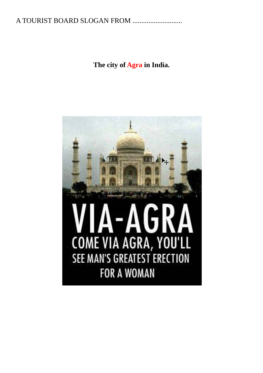#### A TOURIST BOARD SLOGAN FROM ............................

**The city of Agra in India.**

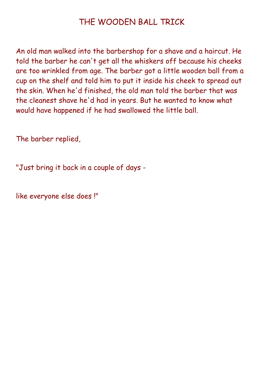### THE WOODEN BALL TRICK

An old man walked into the barbershop for a shave and a haircut. He told the barber he can't get all the whiskers off because his cheeks are too wrinkled from age. The barber got a little wooden ball from a cup on the shelf and told him to put it inside his cheek to spread out the skin. When he'd finished, the old man told the barber that was the cleanest shave he'd had in years. But he wanted to know what would have happened if he had swallowed the little ball.

The barber replied,

"Just bring it back in a couple of days -

like everyone else does !"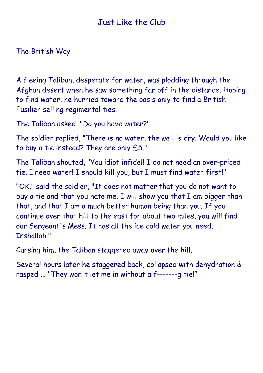### Just Like the Club

The British Way

A fleeing Taliban, desperate for water, was plodding through the Afghan desert when he saw something far off in the distance. Hoping to find water, he hurried toward the oasis only to find a British Fusilier selling regimental ties.

The Taliban asked, "Do you have water?"

The soldier replied, "There is no water, the well is dry. Would you like to buy a tie instead? They are only £5."

The Taliban shouted, "You idiot infidel! I do not need an over-priced tie. I need water! I should kill you, but I must find water first!"

"OK," said the soldier, "It does not matter that you do not want to buy a tie and that you hate me. I will show you that I am bigger than that, and that I am a much better human being than you. If you continue over that hill to the east for about two miles, you will find our Sergeant's Mess. It has all the ice cold water you need. Inshallah."

Cursing him, the Taliban staggered away over the hill.

Several hours later he staggered back, collapsed with dehydration & rasped ... "They won't let me in without a f-------g tie!"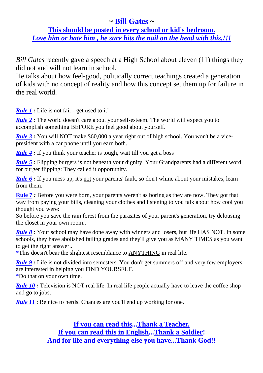#### **~ Bill Gates ~**

**This should be posted in every school or kid's bedroom.** *Love him or hate him , he sure hits the nail on the head with this.!!!*

*Bill Gates* recently gave a speech at a High School about eleven (11) things they did not and will not learn in school.

He talks about how feel-good, politically correct teachings created a generation of kids with no concept of reality and how this concept set them up for failure in the real world.

*Rule 1 :* Life is not fair - get used to it!

*Rule 2* : The world doesn't care about your self-esteem. The world will expect you to accomplish something BEFORE you feel good about yourself.

*Rule 3* : You will NOT make \$60,000 a year right out of high school. You won't be a vicepresident with a car phone until you earn both.

*Rule 4* : If you think your teacher is tough, wait till you get a boss

*Rule 5*: Flipping burgers is not beneath your dignity. Your Grandparents had a different word for burger flipping: They called it opportunity.

*Rule 6* : If you mess up, it's not your parents' fault, so don't whine about your mistakes, learn from them.

**Rule 7** : Before you were born, your parents weren't as boring as they are now. They got that way from paying your bills, cleaning your clothes and listening to you talk about how cool you thought you were:

So before you save the rain forest from the parasites of your parent's generation, try delousing the closet in your own room..

*Rule 8* : Your school may have done away with winners and losers, but life HAS NOT. In some schools, they have abolished failing grades and they'll give you as MANY TIMES as you want to get the right answer..

\*This doesn't bear the slightest resemblance to ANYTHING in real life.

*Rule 9* : Life is not divided into semesters. You don't get summers off and very few employers are interested in helping you FIND YOURSELF.

\*Do that on your own time.

*Rule 10* : Television is NOT real life. In real life people actually have to leave the coffee shop and go to jobs.

*Rule 11* : Be nice to nerds. Chances are you'll end up working for one.

**If you can read this...Thank a Teacher. If you can read this in English...Thank a Soldier! And for life and everything else you have...Thank God!!**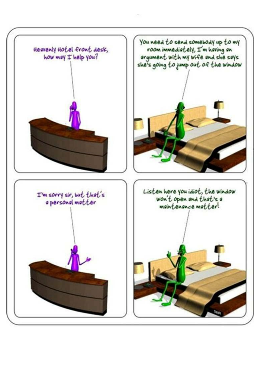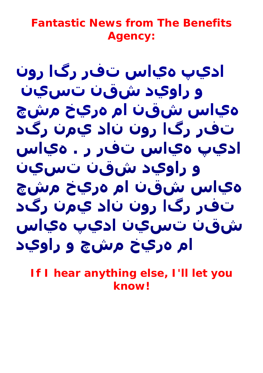**Fantastic News from The Benefits Agency:** 

اديپ هياس تفر رگا رون و راويد شقن تسرين هېاس شق.ن ام ەرېخ مشچ تڧر رگا رون ناد يون رگد ادېپ هېاس ت**فر ر** . هېاس و راويد شقن تسرين هېاس شق.ن ام ەرېخ مشچ تڧر رگا رون ناد ېون رگد شقن تسېين اديپ هېاس ام هرېخ مشج و راوېد

**If I hear anything else, I'll let you know!**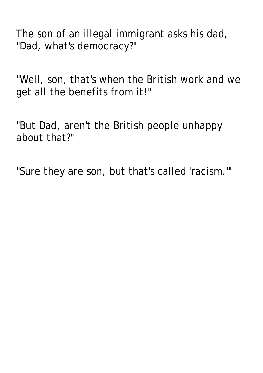The son of an illegal immigrant asks his dad, "Dad, what's democracy?"

"Well, son, that's when the British work and we get all the benefits from it!"

"But Dad, aren't the British people unhappy about that?"

"Sure they are son, but that's called 'racism.'"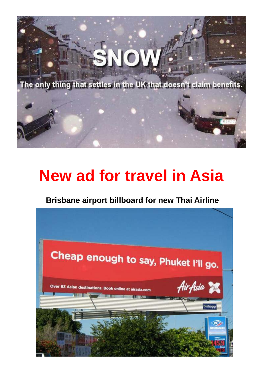

# **New ad for travel in Asia**

### **Brisbane airport billboard for new Thai Airline**

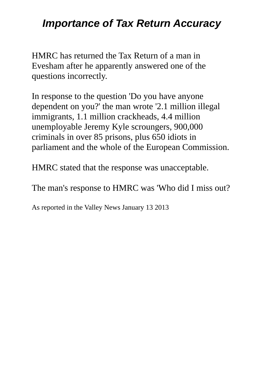### *Importance of Tax Return Accuracy*

HMRC has returned the Tax Return of a man in Evesham after he apparently answered one of the questions incorrectly.

In response to the question 'Do you have anyone dependent on you?' the man wrote '2.1 million illegal immigrants, 1.1 million crackheads, 4.4 million unemployable Jeremy Kyle scroungers, 900,000 criminals in over 85 prisons, plus 650 idiots in parliament and the whole of the European Commission.

HMRC stated that the response was unacceptable.

The man's response to HMRC was 'Who did I miss out?

As reported in the Valley News January 13 2013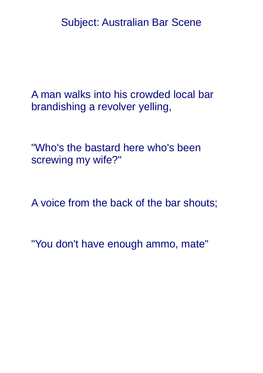Subject: Australian Bar Scene

A man walks into his crowded local bar brandishing a revolver yelling,

"Who's the bastard here who's been screwing my wife?"

A voice from the back of the bar shouts;

"You don't have enough ammo, mate"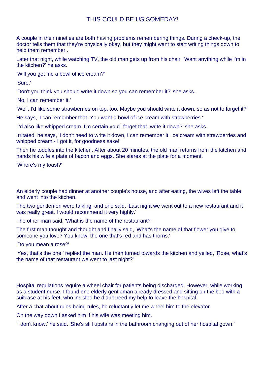#### THIS COULD BE US SOMEDAY!

A couple in their nineties are both having problems remembering things. During a check-up, the doctor tells them that they're physically okay, but they might want to start writing things down to help them remember ..

Later that night, while watching TV, the old man gets up from his chair. 'Want anything while I'm in the kitchen?' he asks.

'Will you get me a bowl of ice cream?'

'Sure.'

'Don't you think you should write it down so you can remember it?' she asks.

'No, I can remember it.'

'Well, I'd like some strawberries on top, too. Maybe you should write it down, so as not to forget it?'

He says, 'I can remember that. You want a bowl of ice cream with strawberries.'

'I'd also like whipped cream. I'm certain you'll forget that, write it down?' she asks.

Irritated, he says, 'I don't need to write it down, I can remember it! Ice cream with strawberries and whipped cream - I got it, for goodness sake!'

Then he toddles into the kitchen. After about 20 minutes, the old man returns from the kitchen and hands his wife a plate of bacon and eggs. She stares at the plate for a moment.

'Where's my toast?'

An elderly couple had dinner at another couple's house, and after eating, the wives left the table and went into the kitchen.

The two gentlemen were talking, and one said, 'Last night we went out to a new restaurant and it was really great. I would recommend it very highly.'

The other man said, 'What is the name of the restaurant?'

The first man thought and thought and finally said, 'What's the name of that flower you give to someone you love? You know, the one that's red and has thorns.'

'Do you mean a rose?'

'Yes, that's the one,' replied the man. He then turned towards the kitchen and yelled, 'Rose, what's the name of that restaurant we went to last night?'

Hospital regulations require a wheel chair for patients being discharged. However, while working as a student nurse, I found one elderly gentleman already dressed and sitting on the bed with a suitcase at his feet, who insisted he didn't need my help to leave the hospital.

After a chat about rules being rules, he reluctantly let me wheel him to the elevator.

On the way down I asked him if his wife was meeting him.

'I don't know,' he said. 'She's still upstairs in the bathroom changing out of her hospital gown.'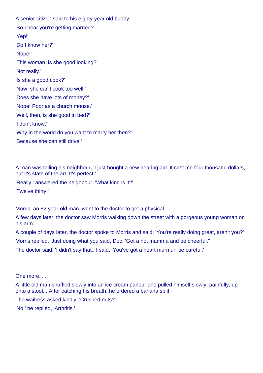A senior citizen said to his eighty-year old buddy: 'So I hear you're getting married?' 'Yep!' 'Do I know her?' 'Nope!' 'This woman, is she good looking?' 'Not really.' 'Is she a good cook?' 'Naw, she can't cook too well.' 'Does she have lots of money?' 'Nope! Poor as a church mouse.' 'Well, then, is she good in bed?' 'I don't know.' 'Why in the world do you want to marry her then?' 'Because she can still drive!'

A man was telling his neighbour, 'I just bought a new hearing aid. It cost me four thousand dollars, but it's state of the art. It's perfect.'

'Really,' answered the neighbour. 'What kind is it?' 'Twelve thirty.'

Morris, an 82 year-old man, went to the doctor to get a physical.

A few days later, the doctor saw Morris walking down the street with a gorgeous young woman on his arm.

A couple of days later, the doctor spoke to Morris and said, 'You're really doing great, aren't you?' Morris replied, 'Just doing what you said, Doc: 'Get a hot mamma and be cheerful.''

The doctor said, 'I didn't say that.. I said, 'You've got a heart murmur; be careful.'

One more. . .!

A little old man shuffled slowly into an ice cream parlour and pulled himself slowly, painfully, up onto a stool... After catching his breath, he ordered a banana split.

The waitress asked kindly, 'Crushed nuts?'

'No,' he replied, 'Arthritis.'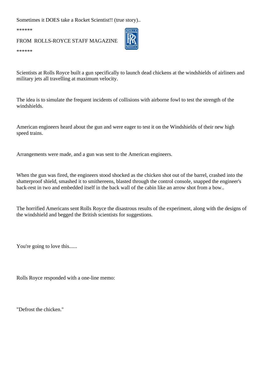Sometimes it DOES take a Rocket Scientist!! (true story)..

\*\*\*\*\*\*

#### FROM ROLLS-ROYCE STAFF MAGAZINE



\*\*\*\*\*\*

Scientists at Rolls Royce built a gun specifically to launch dead chickens at the windshields of airliners and military jets all travelling at maximum velocity.

The idea is to simulate the frequent incidents of collisions with airborne fowl to test the strength of the windshields.

American engineers heard about the gun and were eager to test it on the Windshields of their new high speed trains.

Arrangements were made, and a gun was sent to the American engineers.

When the gun was fired, the engineers stood shocked as the chicken shot out of the barrel, crashed into the shatterproof shield, smashed it to smithereens, blasted through the control console, snapped the engineer's back-rest in two and embedded itself in the back wall of the cabin like an arrow shot from a bow..

The horrified Americans sent Rolls Royce the disastrous results of the experiment, along with the designs of the windshield and begged the British scientists for suggestions.

You're going to love this......

Rolls Royce responded with a one-line memo:

"Defrost the chicken."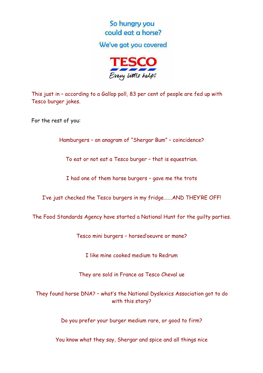#### So hungry you could eat a horse?

We've got you covered



This just in – according to a Gallop poll, 83 per cent of people are fed up with Tesco burger jokes.

For the rest of you:

Hamburgers – an anagram of "Shergar Bum" – coincidence?

To eat or not eat a Tesco burger – that is equestrian.

I had one of them horse burgers – gave me the trots

I've just checked the Tesco burgers in my fridge…….AND THEY'RE OFF!

The Food Standards Agency have started a National Hunt for the guilty parties.

Tesco mini burgers – horsed'oeuvre or mane?

I like mine cooked medium to Redrum

They are sold in France as Tesco Cheval ue

They found horse DNA? – what's the National Dyslexics Association got to do with this story?

Do you prefer your burger medium rare, or good to firm?

You know what they say, Shergar and spice and all things nice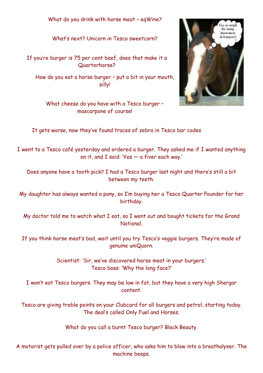What do you drink with horse meat – eqWine?

What's next? Unicorn in Tesco sweetcorn?

If you're burger is 75 per cent beef, does that make it a Quarterhorse?

How do you eat a horse burger – put a bit in your mouth, silly!



What cheese do you have with a Tesco burger – mascarpone of course!

It gets worse, now they've found traces of zebra in Tesco bar codes

I went to a Tesco café yesterday and ordered a burger. They asked me if I wanted anything on it, and I said: 'Yes — a fiver each way.'

Does anyone have a tooth pick? I had a Tesco burger last night and there's still a bit between my teeth.

My daughter has always wanted a pony, so I'm buying her a Tesco Quarter Pounder for her birthday.

My doctor told me to watch what I eat, so I went out and bought tickets for the Grand National.

If you think horse meat's bad, wait until you try Tesco's veggie burgers. They're made of genuine uniQuorn.

> Scientist: 'Sir, we've discovered horse meat in your burgers.' Tesco boss: 'Why the long face?'

I won't eat Tesco burgers. They may be low in fat, but they have a very high Shergar content.

Tesco are giving treble points on your Clubcard for all burgers and petrol, starting today. The deal's called Only Fuel and Horses.

What do you call a burnt Tesco burger? Black Beauty.

A motorist gets pulled over by a police officer, who asks him to blow into a breathalyser. The machine beeps.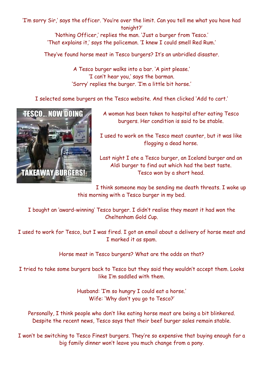'I'm sorry Sir,' says the officer. 'You're over the limit. Can you tell me what you have had tonight?'

'Nothing Officer,' replies the man. 'Just a burger from Tesco.' 'That explains it,' says the policeman. 'I knew I could smell Red Rum.'

They've found horse meat in Tesco burgers? It's an unbridled disaster.

A Tesco burger walks into a bar. 'A pint please.' 'I can't hear you,' says the barman. 'Sorry' replies the burger. 'I'm a little bit horse.'

I selected some burgers on the Tesco website. And then clicked 'Add to cart.'



A woman has been taken to hospital after eating Tesco burgers. Her condition is said to be stable.

I used to work on the Tesco meat counter, but it was like flogging a dead horse.

Last night I ate a Tesco burger, an Iceland burger and an Aldi burger to find out which had the best taste. Tesco won by a short head.

I think someone may be sending me death threats. I woke up this morning with a Tesco burger in my bed.

I bought an 'award-winning' Tesco burger. I didn't realise they meant it had won the Cheltenham Gold Cup.

I used to work for Tesco, but I was fired. I got an email about a delivery of horse meat and I marked it as spam.

Horse meat in Tesco burgers? What are the odds on that?

I tried to take some burgers back to Tesco but they said they wouldn't accept them. Looks like I'm saddled with them.

> Husband: 'I'm so hungry I could eat a horse.' Wife: 'Why don't you go to Tesco?'

Personally, I think people who don't like eating horse meat are being a bit blinkered. Despite the recent news, Tesco says that their beef burger sales remain stable.

I won't be switching to Tesco Finest burgers. They're so expensive that buying enough for a big family dinner won't leave you much change from a pony.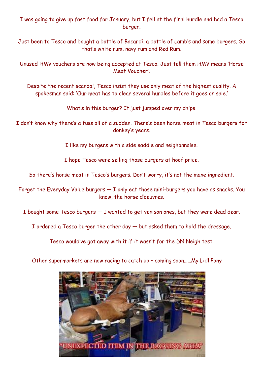I was going to give up fast food for January, but I fell at the final hurdle and had a Tesco burger.

Just been to Tesco and bought a bottle of Bacardi, a bottle of Lamb's and some burgers. So that's white rum, navy rum and Red Rum.

Unused HMV vouchers are now being accepted at Tesco. Just tell them HMV means 'Horse Meat Voucher'.

Despite the recent scandal, Tesco insist they use only meat of the highest quality. A spokesman said: 'Our meat has to clear several hurdles before it goes on sale.'

What's in this burger? It just jumped over my chips.

I don't know why there's a fuss all of a sudden. There's been horse meat in Tesco burgers for donkey's years.

I like my burgers with a side saddle and neighonnaise.

I hope Tesco were selling those burgers at hoof price.

So there's horse meat in Tesco's burgers. Don't worry, it's not the mane ingredient.

Forget the Everyday Value burgers  $-$  I only eat those mini-burgers you have as snacks. You know, the horse d'oeuvres.

I bought some Tesco burgers — I wanted to get venison ones, but they were dead dear.

I ordered a Tesco burger the other day — but asked them to hold the dressage.

Tesco would've got away with it if it wasn't for the DN Neigh test.

Other supermarkets are now racing to catch up – coming soon……My Lidl Pony

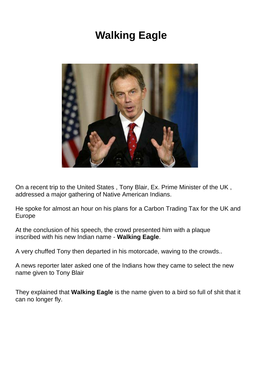### **Walking Eagle**



On a recent trip to the United States , Tony Blair, Ex. Prime Minister of the UK , addressed a major gathering of Native American Indians.

He spoke for almost an hour on his plans for a Carbon Trading Tax for the UK and Europe

At the conclusion of his speech, the crowd presented him with a plaque inscribed with his new Indian name - **Walking Eagle**.

A very chuffed Tony then departed in his motorcade, waving to the crowds..

A news reporter later asked one of the Indians how they came to select the new name given to Tony Blair

They explained that **Walking Eagle** is the name given to a bird so full of shit that it can no longer fly.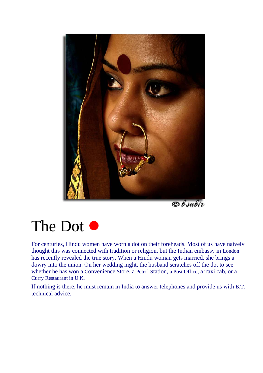

 $6$ bsubir

## The Dot  $\bullet$

For centuries, Hindu women have worn a dot on their foreheads. Most of us have naively thought this was connected with tradition or religion, but the Indian embassy in London has recently revealed the true story. When a Hindu woman gets married, she brings a dowry into the union. On her wedding night, the husband scratches off the dot to see whether he has won a Convenience Store, a Petrol Station, a Post Office, a Taxi cab, or a Curry Restaurant in U.K.

If nothing is there, he must remain in India to answer telephones and provide us with B.T. technical advice.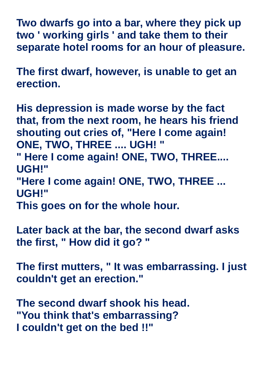**Two dwarfs go into a bar, where they pick up two ' working girls ' and take them to their separate hotel rooms for an hour of pleasure.**

**The first dwarf, however, is unable to get an erection.**

**His depression is made worse by the fact that, from the next room, he hears his friend shouting out cries of, "Here I come again! ONE, TWO, THREE .... UGH! " " Here I come again! ONE, TWO, THREE.... UGH!" "Here I come again! ONE, TWO, THREE ... UGH!" This goes on for the whole hour.**

**Later back at the bar, the second dwarf asks the first, " How did it go? "**

**The first mutters, " It was embarrassing. I just couldn't get an erection."**

**The second dwarf shook his head. "You think that's embarrassing? I couldn't get on the bed !!"**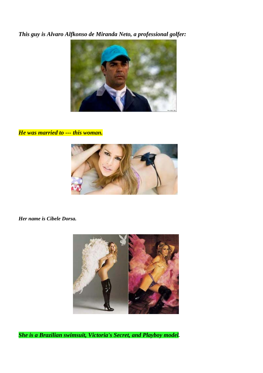*This guy is Alvaro Alfkonso de Miranda Neto, a professional golfer:*



#### *He was married to --- this woman.*



#### *Her name is Cibele Dorsa.*



*She is a Brazilian swimsuit, Victoria's Secret, and Playboy model.*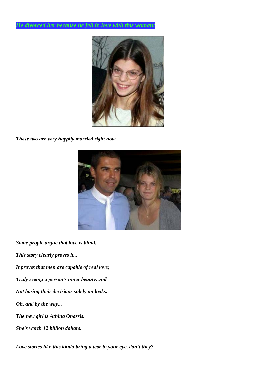*He divorced her because he fell in love with this woman:*



*These two are very happily married right now.*



*Some people argue that love is blind. This story clearly proves it... It proves that men are capable of real love; Truly seeing a person's inner beauty, and Not basing their decisions solely on looks. Oh, and by the way... The new girl is Athina Onassis. She's worth 12 billion dollars.*

*Love stories like this kinda bring a tear to your eye, don't they?*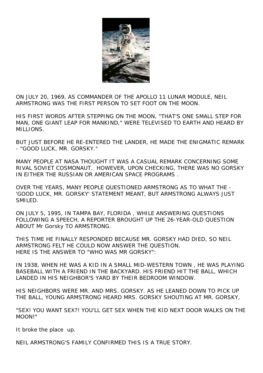

*ON JULY 20, 1969, AS COMMANDER OF THE APOLLO 11 LUNAR MODULE, NEIL ARMSTRONG WAS THE FIRST PERSON TO SET FOOT ON THE MOON.* 

*HIS FIRST WORDS AFTER STEPPING ON THE MOON, "THAT'S ONE SMALL STEP FOR MAN, ONE GIANT LEAP FOR MANKIND," WERE TELEVISED TO EARTH AND HEARD BY MILLIONS.*

*BUT JUST BEFORE HE RE-ENTERED THE LANDER, HE MADE THE ENIGMATIC REMARK - "GOOD LUCK, MR. GORSKY."* 

*MANY PEOPLE AT NASA THOUGHT IT WAS A CASUAL REMARK CONCERNING SOME RIVAL SOVIET COSMONAUT. HOWEVER, UPON CHECKING, THERE WAS NO GORSKY IN EITHER THE RUSSIAN OR AMERICAN SPACE PROGRAMS .* 

*OVER THE YEARS, MANY PEOPLE QUESTIONED ARMSTRONG AS TO WHAT THE - 'GOOD LUCK, MR. GORSKY' STATEMENT MEANT, BUT ARMSTRONG ALWAYS JUST SMILED.* 

*ON JULY 5, 1995, IN TAMPA BAY, FLORIDA , WHILE ANSWERING QUESTIONS FOLLOWING A SPEECH, A REPORTER BROUGHT UP THE 26-YEAR-OLD QUESTION ABOUT Mr Gorsky TO ARMSTRONG.* 

*THIS TIME HE FINALLY RESPONDED BECAUSE MR. GORSKY HAD DIED, SO NEIL ARMSTRONG FELT HE COULD NOW ANSWER THE QUESTION. HERE IS THE ANSWER TO "WHO WAS MR GORSKY":* 

*IN 1938, WHEN HE WAS A KID IN A SMALL MID-WESTERN TOWN , HE WAS PLAYING BASEBALL WITH A FRIEND IN THE BACKYARD. HIS FRIEND HIT THE BALL, WHICH LANDED IN HIS NEIGHBOR'S YARD BY THEIR BEDROOM WINDOW.* 

*HIS NEIGHBORS WERE MR. AND MRS. GORSKY. AS HE LEANED DOWN TO PICK UP THE BALL, YOUNG ARMSTRONG HEARD MRS. GORSKY SHOUTING AT MR. GORSKY,* 

*"SEX! YOU WANT SEX?! YOU'LL GET SEX WHEN THE KID NEXT DOOR WALKS ON THE MOON!"* 

*It broke the place up.* 

*NEIL ARMSTRONG'S FAMILY CONFIRMED THIS IS A TRUE STORY.*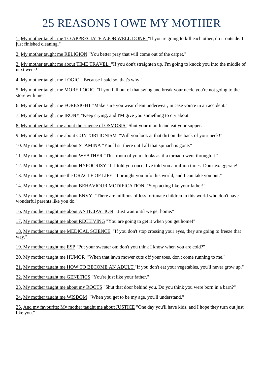### 25 REASONS I OWE MY MOTHER

1. My mother taught me TO APPRECIATE A JOB WELL DONE "If you're going to kill each other, do it outside. I just finished cleaning."

2. My mother taught me RELIGION "You better pray that will come out of the carpet."

3. My mother taught me about TIME TRAVEL "If you don't straighten up, I'm going to knock you into the middle of next week!"

4. My mother taught me LOGIC "Because I said so, that's why."

5. My mother taught me MORE LOGIC "If you fall out of that swing and break your neck, you're not going to the store with me."

6. My mother taught me FORESIGHT "Make sure you wear clean underwear, in case you're in an accident."

7. My mother taught me IRONY "Keep crying, and I'M give you something to cry about."

8. My mother taught me about the science of OSMOSIS "Shut your mouth and eat your supper.

9. My mother taught me about CONTORTIONISM "Will you look at that dirt on the back of your neck!"

10. My mother taught me about STAMINA "You'll sit there until all that spinach is gone."

11. My mother taught me about WEATHER "This room of yours looks as if a tornado went through it."

12. My mother taught me about HYPOCRISY "If I told you once, I've told you a million times. Don't exaggerate!"

13. My mother taught me the ORACLE OF LIFE "I brought you info this world, and I can take you out."

14. My mother taught me about BEHAVIOUR MODIFICATION "Stop acting like your father!"

15. My mother taught me about ENVY "There are millions of less fortunate children in this world who don't have wonderful parents like you do."

16. My mother taught me about ANTICIPATION "Just wait until we get home."

17. My mother taught me about RECEIVING "You are going to get it when you get home!"

18. My mother taught me MEDICAL SCIENCE "If you don't stop crossing your eyes, they are going to freeze that way."

19. My mother taught me ESP "Put your sweater on; don't you think I know when you are cold?"

20. My mother taught me HUMOR "When that lawn mower cuts off your toes, don't come running to me."

21. My mother taught me HOW TO BECOME AN ADULT "If you don't eat your vegetables, you'll never grow up."

22. My mother taught me GENETICS "You're just like your father."

23. My mother taught me about my ROOTS "Shut that door behind you. Do you think you were born in a barn?"

24. My mother taught me WISDOM "When you get to be my age, you'll understand."

25. And my favourite: My mother taught me about JUSTICE "One day you'll have kids, and I hope they turn out just like you."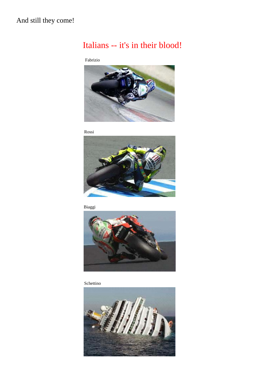### Italians -- it's in their blood!

Fabrizio



Rossi



Biaggi



Schettino

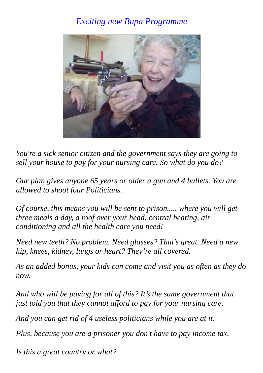### *Exciting new Bupa Programme*



*You're a sick senior citizen and the government says they are going to sell your house to pay for your nursing care. So what do you do?*

*Our plan gives anyone 65 years or older a gun and 4 bullets. You are allowed to shoot four Politicians.*

*Of course, this means you will be sent to prison..... where you will get three meals a day, a roof over your head, central heating, air conditioning and all the health care you need!*

*Need new teeth? No problem. Need glasses? That's great. Need a new hip, knees, kidney, lungs or heart? They're all covered.*

*As an added bonus, your kids can come and visit you as often as they do now.*

*And who will be paying for all of this? It's the same government that just told you that they cannot afford to pay for your nursing care.*

*And you can get rid of 4 useless politicians while you are at it.*

*Plus, because you are a prisoner you don't have to pay income tax.*

*Is this a great country or what?*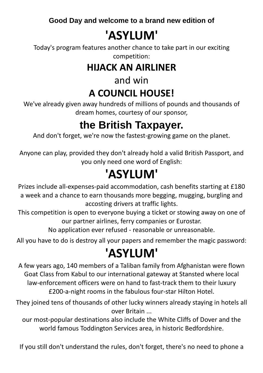**Good Day and welcome to a brand new edition of**

## **'ASYLUM'**

Today's program features another chance to take part in our exciting competition:

### **HIJACK AN AIRLINER**

and win

### **A COUNCIL HOUSE!**

We've already given away hundreds of millions of pounds and thousands of dream homes, courtesy of our sponsor,

### **the British Taxpayer.**

And don't forget, we're now the fastest-growing game on the planet.

Anyone can play, provided they don't already hold a valid British Passport, and you only need one word of English:

## **'ASYLUM'**

Prizes include all‐expenses‐paid accommodation, cash benefits starting at £180 a week and a chance to earn thousands more begging, mugging, burgling and accosting drivers at traffic lights.

This competition is open to everyone buying a ticket or stowing away on one of our partner airlines, ferry companies or Eurostar.

No application ever refused ‐ reasonable or unreasonable.

All you have to do is destroy all your papers and remember the magic password:

## **'ASYLUM'**

A few years ago, 140 members of a Taliban family from Afghanistan were flown Goat Class from Kabul to our international gateway at Stansted where local law-enforcement officers were on hand to fast-track them to their luxury £200‐a‐night rooms in the fabulous four‐star Hilton Hotel.

They joined tens of thousands of other lucky winners already staying in hotels all over Britain ...

our most‐popular destinations also include the White Cliffs of Dover and the world famous Toddington Services area, in historic Bedfordshire.

If you still don't understand the rules, don't forget, there's no need to phone a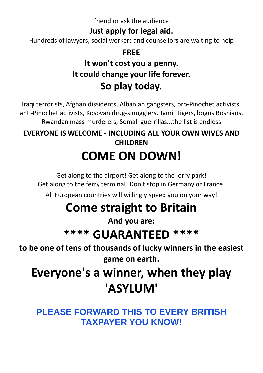friend or ask the audience

#### **Just apply for legal aid.**

Hundreds of lawyers, social workers and counsellors are waiting to help

#### **FREE**

### **It won't cost you a penny. It could change your life forever. So play today.**

Iraqi terrorists, Afghan dissidents, Albanian gangsters, pro‐Pinochet activists, anti‐Pinochet activists, Kosovan drug‐smugglers, Tamil Tigers, bogus Bosnians, Rwandan mass murderers, Somali guerrillas...the list is endless

### **EVERYONE IS WELCOME ‐ INCLUDING ALL YOUR OWN WIVES AND CHILDREN COME ON DOWN!**

Get along to the airport! Get along to the lorry park! Get along to the ferry terminal! Don't stop in Germany or France!

All European countries will willingly speed you on your way!

## **Come straight to Britain**

**And you are:**

### **\*\*\*\* GUARANTEED \*\*\*\***

**to be one of tens of thousands of lucky winners in the easiest game on earth.**

## **Everyone's a winner, when they play 'ASYLUM'**

**PLEASE FORWARD THIS TO EVERY BRITISH TAXPAYER YOU KNOW!**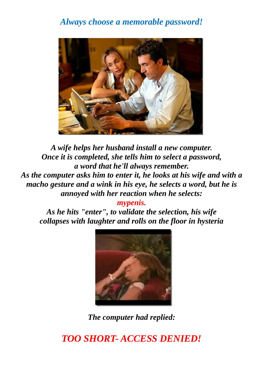### *Always choose a memorable password!*



*A wife helps her husband install a new computer. Once it is completed, she tells him to select a password, a word that he'll always remember. As the computer asks him to enter it, he looks at his wife and with a macho gesture and a wink in his eye, he selects a word, but he is annoyed with her reaction when he selects:*

*mypenis.*

*As he hits "enter", to validate the selection, his wife collapses with laughter and rolls on the floor in hysteria*



*The computer had replied:*

*TOO SHORT- ACCESS DENIED!*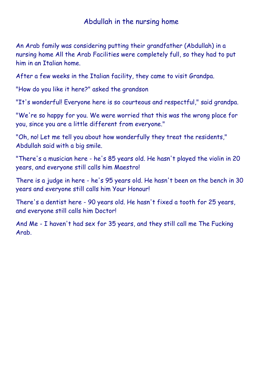#### Abdullah in the nursing home

An Arab family was considering putting their grandfather (Abdullah) in a nursing home All the Arab Facilities were completely full, so they had to put him in an Italian home.

After a few weeks in the Italian facility, they came to visit Grandpa.

"How do you like it here?" asked the grandson

"It's wonderful! Everyone here is so courteous and respectful," said grandpa.

"We're so happy for you. We were worried that this was the wrong place for you, since you are a little different from everyone."

"Oh, no! Let me tell you about how wonderfully they treat the residents," Abdullah said with a big smile.

"There's a musician here - he's 85 years old. He hasn't played the violin in 20 years, and everyone still calls him Maestro!

There is a judge in here - he's 95 years old. He hasn't been on the bench in 30 years and everyone still calls him Your Honour!

There's a dentist here - 90 years old. He hasn't fixed a tooth for 25 years, and everyone still calls him Doctor!

And Me - I haven't had sex for 35 years, and they still call me The Fucking Arab.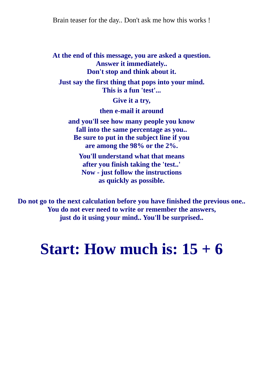Brain teaser for the day.. Don't ask me how this works !

**At the end of this message, you are asked a question. Answer it immediately.. Don't stop and think about it. Just say the first thing that pops into your mind. This is a fun 'test'... Give it a try, then e-mail it around and you'll see how many people you know fall into the same percentage as you.. Be sure to put in the subject line if you** 

**are among the 98% or the 2%.**

**You'll understand what that means after you finish taking the 'test..' Now - just follow the instructions as quickly as possible.**

**Do not go to the next calculation before you have finished the previous one.. You do not ever need to write or remember the answers, just do it using your mind.. You'll be surprised..**

## **Start: How much is: 15 + 6**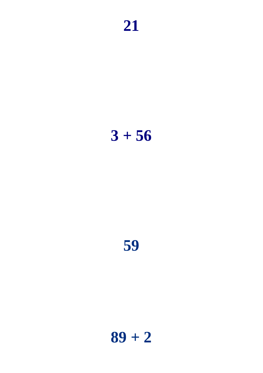# **3 + 56**

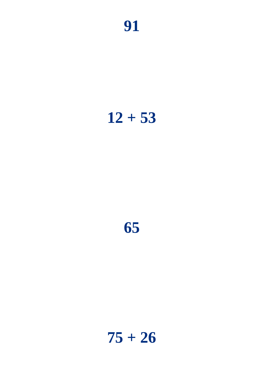

## **12 + 53**

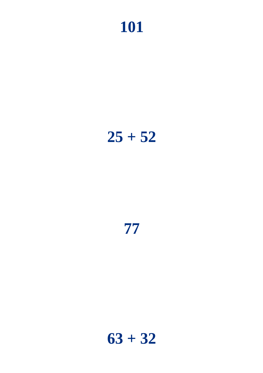

## **25 + 52**

**63 + 32**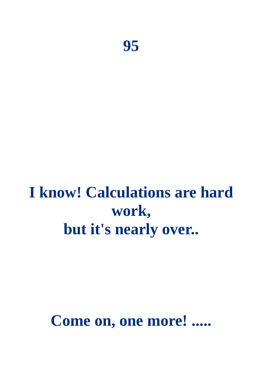

# **I know! Calculations are hard work, but it's nearly over..**

## **Come on, one more! .....**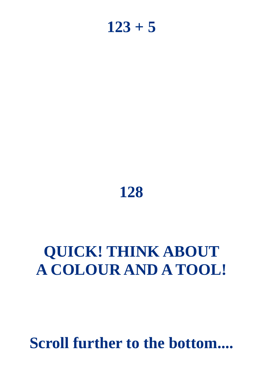## **Scroll further to the bottom....**

# **QUICK! THINK ABOUT A COLOUR AND A TOOL!**

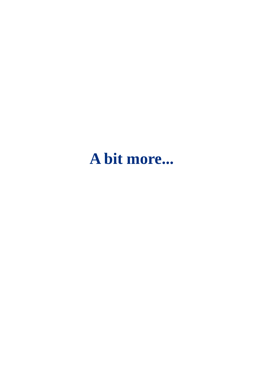# **A bit more...**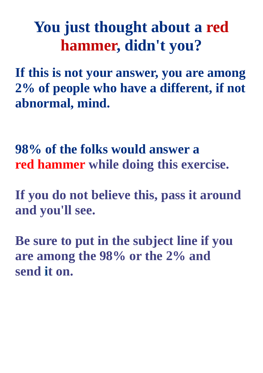# **You just thought about a red hammer, didn't you?**

**If this is not your answer, you are among 2% of people who have a different, if not abnormal, mind.** 

**98% of the folks would answer a red hammer while doing this exercise.** 

**If you do not believe this, pass it around and you'll see.** 

**Be sure to put in the subject line if you are among the 98% or the 2% and send it on.**